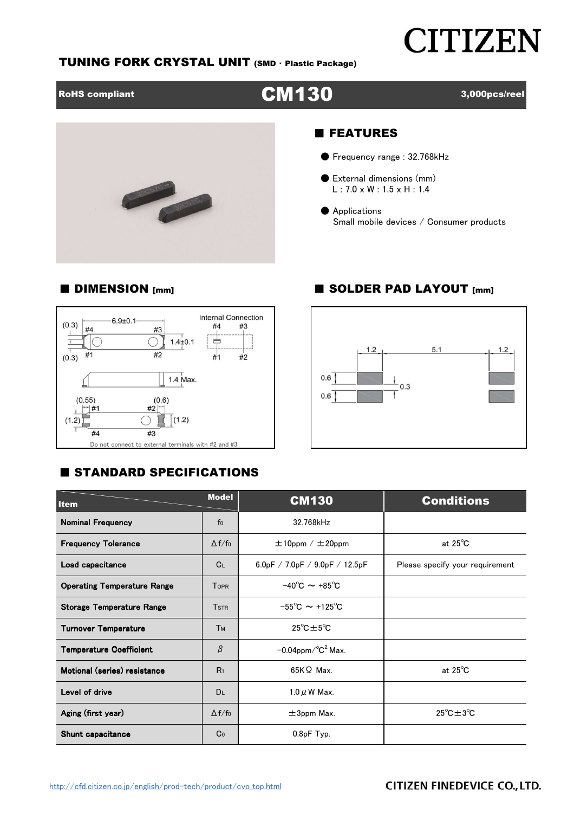# **CITIZEN**

# TUNING FORK CRYSTAL UNIT (SMD ・ Plastic Package)





# ■ FEATURES

- Frequency range : 32.768kHz
- External dimensions (mm) L : 7.0 x W : 1.5 x H : 1.4
- Applications Small mobile devices / Consumer products

## ■ DIMENSION [mm] ■ SOLDER PAD LAYOUT [mm]



# **E STANDARD SPECIFICATIONS**



| <b>Model</b><br><b>Item</b>        |                | <b>CM130</b>                             | <b>Conditions</b>                |  |  |  |
|------------------------------------|----------------|------------------------------------------|----------------------------------|--|--|--|
| <b>Nominal Frequency</b>           | f <sub>0</sub> | 32.768kHz                                |                                  |  |  |  |
| <b>Frequency Tolerance</b>         | $\Delta f/f_0$ | $\pm 10$ ppm / $\pm 20$ ppm              | at $25^{\circ}$ C                |  |  |  |
| Load capacitance                   | C <sub>L</sub> | 6.0pF / 7.0pF / 9.0pF / 12.5pF           | Please specify your requirement  |  |  |  |
| <b>Operating Temperature Range</b> | <b>TOPR</b>    | $-40^{\circ}$ C $\sim +85^{\circ}$ C     |                                  |  |  |  |
| <b>Storage Temperature Range</b>   | <b>TSTR</b>    | $-55^{\circ}$ C $\sim$ +125 $^{\circ}$ C |                                  |  |  |  |
| <b>Turnover Temperature</b>        | Тм             | $25^{\circ}$ C $\pm 5^{\circ}$ C         |                                  |  |  |  |
| <b>Temperature Coefficient</b>     | β              | $-0.04$ ppm/ $\mathrm{°C}^2$ Max.        |                                  |  |  |  |
| Motional (series) resistance       | R <sub>1</sub> | $65K\Omega$ Max.                         | at $25^{\circ}$ C                |  |  |  |
| Level of drive                     | <b>DL</b>      | $1.0 \mu$ W Max.                         |                                  |  |  |  |
| Aging (first year)                 | $\Delta f/f_0$ | $\pm 3$ ppm Max.                         | $25^{\circ}$ C $\pm 3^{\circ}$ C |  |  |  |
| Shunt capacitance                  | Co             | $0.8pF$ Typ.                             |                                  |  |  |  |